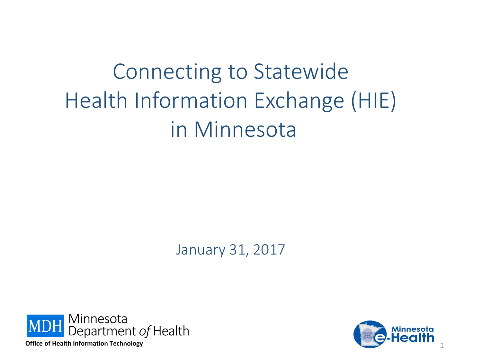# Connecting to Statewide Health Information Exchange (HIE) in Minnesota

January 31, 2017



**Office of Health Information Technology** 

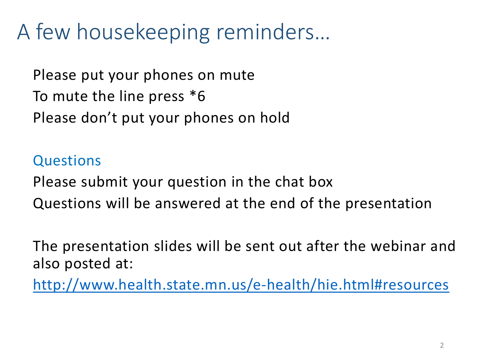# A few housekeeping reminders…

Please put your phones on mute To mute the line press \*6 Please don't put your phones on hold

#### **Questions**

Please submit your question in the chat box Questions will be answered at the end of the presentation

The presentation slides will be sent out after the webinar and also posted at:

<http://www.health.state.mn.us/e-health/hie.html#resources>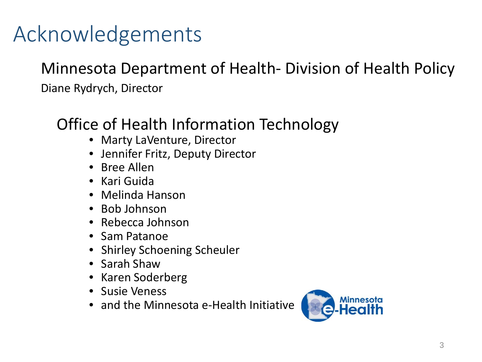# Acknowledgements

#### Minnesota Department of Health- Division of Health Policy

Diane Rydrych, Director

#### Office of Health Information Technology

- Marty LaVenture, Director
- Jennifer Fritz, Deputy Director
- Bree Allen
- Kari Guida
- Melinda Hanson
- Bob Johnson
- Rebecca Johnson
- Sam Patanoe
- Shirley Schoening Scheuler
- Sarah Shaw
- Karen Soderberg
- Susie Veness
- and the Minnesota e-Health Initiative

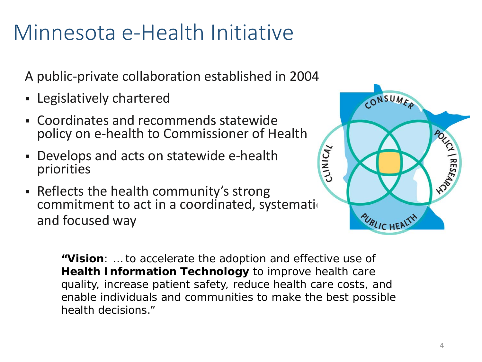### Minnesota e-Health Initiative

A public-private collaboration established in 2004

- Legislatively chartered
- Coordinates and recommends statewide policy on e-health to Commissioner of Health
- Develops and acts on statewide e-health priorities
- Reflects the health community's strong commitment to act in a coordinated, systemation and focused way



**"Vision**: … to accelerate the adoption and effective use of **Health Information Technology** to improve health care quality, increase patient safety, reduce health care costs, and enable individuals and communities to make the best possible health decisions."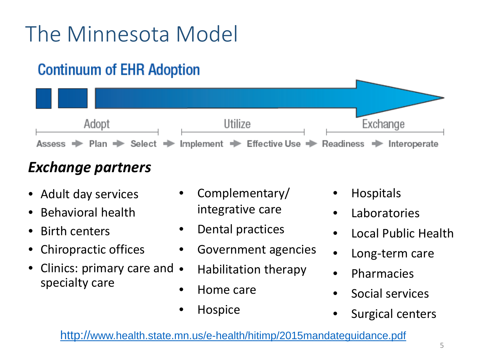# The Minnesota Model

### **Continuum of EHR Adoption**



#### *Exchange partners*

- Adult day services
- Behavioral health
- Birth centers
- Chiropractic offices
- Clinics: primary care and specialty care
- Complementary/ integrative care
- Dental practices
- Government agencies
- Habilitation therapy
- Home care
- Hospice
- Hospitals
- Laboratories
- Local Public Health
- Long-term care
- Pharmacies
- Social services
- Surgical centers

<http://www.health.state.mn.us/e-health/hitimp/2015mandateguidance.pdf>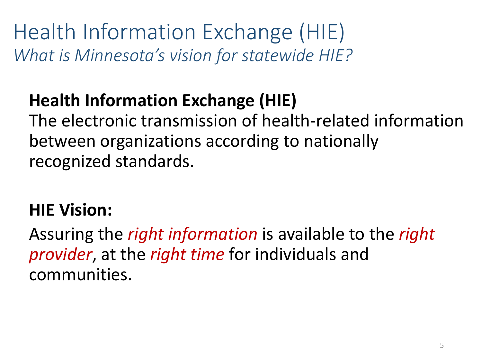Health Information Exchange (HIE) *What is Minnesota's vision for statewide HIE?*

### **Health Information Exchange (HIE)**

The electronic transmission of health-related information between organizations according to nationally recognized standards.

#### **HIE Vision:**

Assuring the *right information* is available to the *right provider*, at the *right time* for individuals and communities.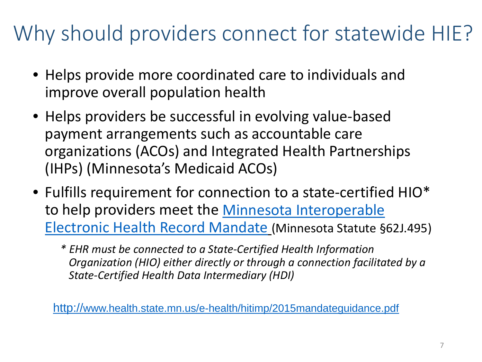## Why should providers connect for statewide HIE?

- Helps provide more coordinated care to individuals and improve overall population health
- Helps providers be successful in evolving value-based payment arrangements such as accountable care organizations (ACOs) and Integrated Health Partnerships (IHPs) (Minnesota's Medicaid ACOs)
- Fulfills requirement for connection to a state-certified HIO\* [to help providers meet the Minnesota Interoperable](http://www.health.state.mn.us/e-health/hitimp/2015mandateguidance.pdf)  Electronic Health Record Mandate (Minnesota Statute §62J.495)
	- *\* EHR must be connected to a State-Certified Health Information Organization (HIO) either directly or through a connection facilitated by a State-Certified Health Data Intermediary (HDI)*

<http://www.health.state.mn.us/e-health/hitimp/2015mandateguidance.pdf>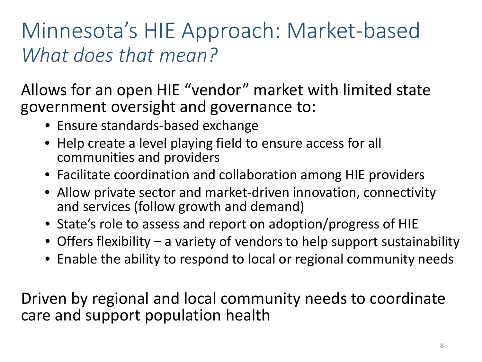### Minnesota's HIE Approach: Market-based *What does that mean?*

Allows for an open HIE "vendor" market with limited state government oversight and governance to:

- Ensure standards-based exchange
- Help create a level playing field to ensure access for all communities and providers
- Facilitate coordination and collaboration among HIE providers
- Allow private sector and market-driven innovation, connectivity and services (follow growth and demand)
- State's role to assess and report on adoption/progress of HIE
- Offers flexibility a variety of vendors to help support sustainability
- Enable the ability to respond to local or regional community needs

Driven by regional and local community needs to coordinate care and support population health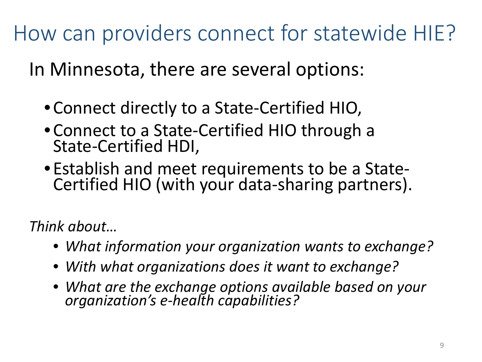How can providers connect for statewide HIE?

In Minnesota, there are several options:

- •Connect directly to a State-Certified HIO,
- •Connect to a State-Certified HIO through a State-Certified HDI,
- •Establish and meet requirements to be a State- Certified HIO (with your data-sharing partners).

*Think about…*

- *What information your organization wants to exchange?*
- *With what organizations does it want to exchange?*
- *What are the exchange options available based on your organization's e-health capabilities?*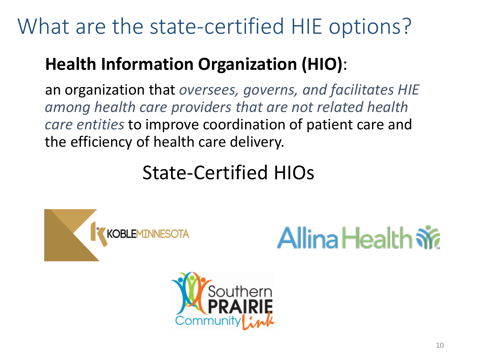### What are the state-certified HIE options?

### **Health Information Organization (HIO)**:

an organization that *oversees, governs, and facilitates HIE among health care providers that are not related health care entities* to improve coordination of patient care and the efficiency of health care delivery.

### State-Certified HIOs





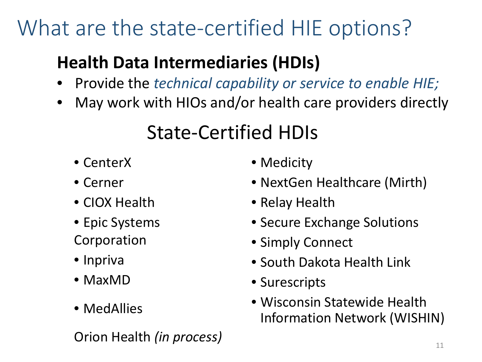## What are the state-certified HIE options?

### **Health Data Intermediaries (HDIs)**

- Provide the *technical capability or service to enable HIE;*
- May work with HIOs and/or health care providers directly

### State-Certified HDIs

- CenterX
- Cerner
- CIOX Health
- Epic Systems Corporation
- Inpriva
- MaxMD
- MedAllies

Orion Health *(in process)* 

- Medicity
- NextGen Healthcare (Mirth)
- Relay Health
- Secure Exchange Solutions
- Simply Connect
- South Dakota Health Link
- Surescripts
- Wisconsin Statewide Health Information Network (WISHIN)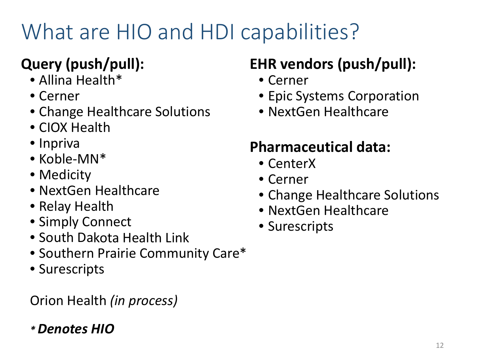# What are HIO and HDI capabilities?

#### **Query (push/pull):**

- Allina Health\*
- Cerner
- Change Healthcare Solutions
- CIOX Health
- Inpriva
- Koble-MN\*
- Medicity
- NextGen Healthcare
- Relay Health
- Simply Connect
- South Dakota Health Link
- Southern Prairie Community Care\*
- Surescripts

Orion Health *(in process)*

#### *\* Denotes HIO*

#### **EHR vendors (push/pull):**

- Cerner
- Epic Systems Corporation
- NextGen Healthcare

#### **Pharmaceutical data:**

- CenterX
- Cerner
- Change Healthcare Solutions
- NextGen Healthcare
- Surescripts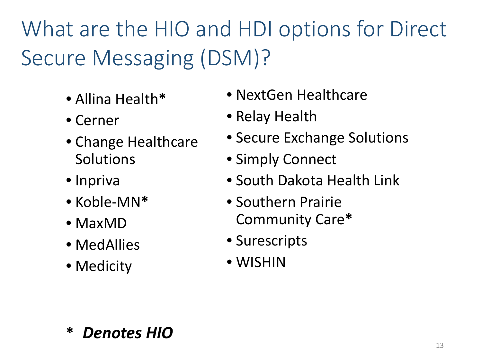# What are the HIO and HDI options for Direct Secure Messaging (DSM)?

- Allina Health**\***
- Cerner
- Change Healthcare **Solutions**
- Inpriva
- Koble-MN**\***
- MaxMD
- MedAllies
- Medicity
- NextGen Healthcare
- Relay Health
- Secure Exchange Solutions
- Simply Connect
- South Dakota Health Link
- Southern Prairie Community Care**\***
- Surescripts
- WISHIN

**\*** *Denotes HIO*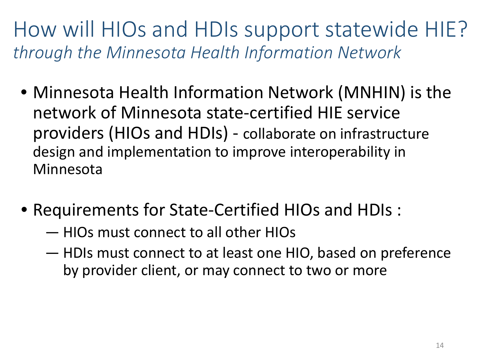How will HIOs and HDIs support statewide HIE? *through the Minnesota Health Information Network*

- Minnesota Health Information Network (MNHIN) is the network of Minnesota state-certified HIE service providers (HIOs and HDIs) - collaborate on infrastructure design and implementation to improve interoperability in Minnesota
- Requirements for State-Certified HIOs and HDIs :
	- HIOs must connect to all other HIOs
	- HDIs must connect to at least one HIO, based on preference by provider client, or may connect to two or more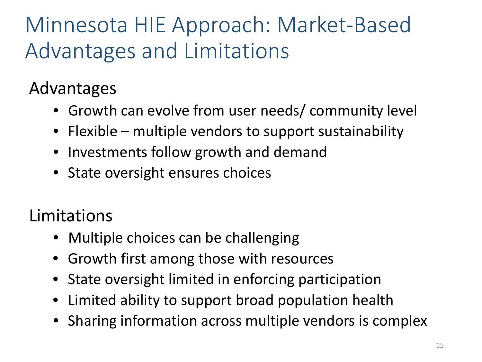# Minnesota HIE Approach: Market-Based Advantages and Limitations

#### Advantages

- Growth can evolve from user needs/ community level
- Flexible multiple vendors to support sustainability
- Investments follow growth and demand
- State oversight ensures choices

#### Limitations

- Multiple choices can be challenging
- Growth first among those with resources
- State oversight limited in enforcing participation
- Limited ability to support broad population health
- Sharing information across multiple vendors is complex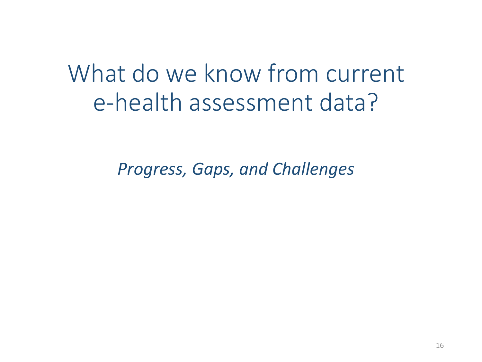What do we know from current e-health assessment data?

*Progress, Gaps, and Challenges*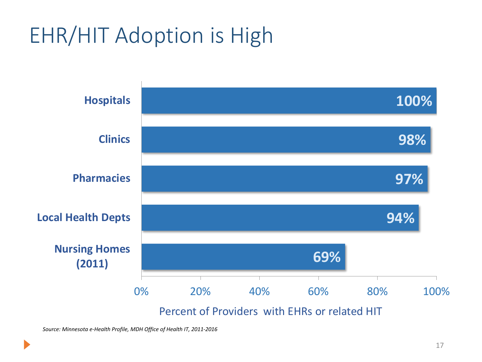# EHR/HIT Adoption is High



Percent of Providers with EHRs or related HIT

*Source: Minnesota e-Health Profile, MDH Office of Health IT, 2011-2016*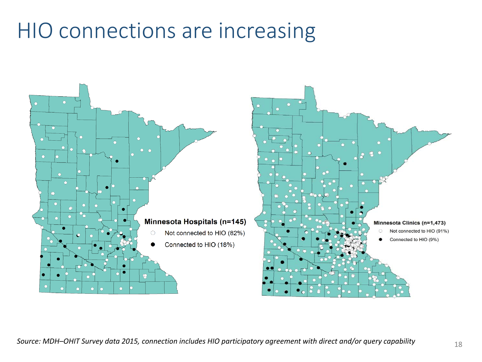### HIO connections are increasing

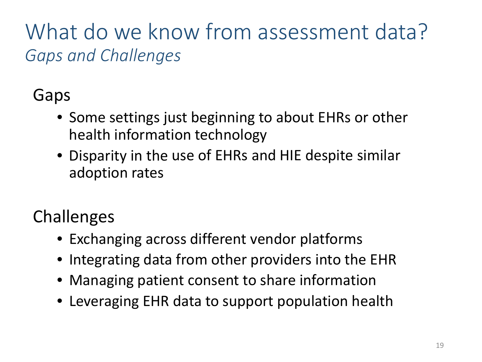### What do we know from assessment data? *Gaps and Challenges*

Gaps

- Some settings just beginning to about EHRs or other health information technology
- Disparity in the use of EHRs and HIE despite similar adoption rates

Challenges

- Exchanging across different vendor platforms
- Integrating data from other providers into the EHR
- Managing patient consent to share information
- Leveraging EHR data to support population health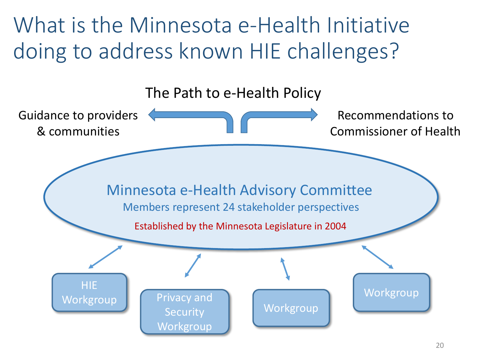What is the Minnesota e-Health Initiative doing to address known HIE challenges?

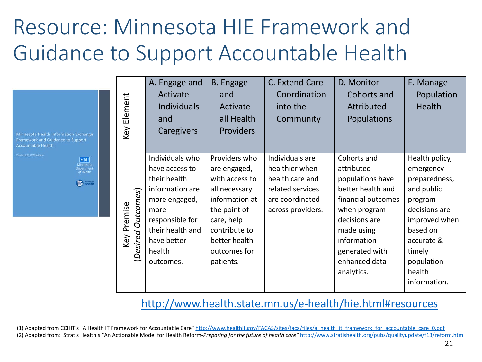## Resource: Minnesota HIE Framework and Guidance to Support Accountable Health

| Minnesota Health Information Exchange<br>Framework and Guidance to Support<br><b>Accountable Health</b>                                                                                                                                                                                                                                                     | Key Element                       | A. Engage and<br>Activate<br><b>Individuals</b><br>and<br>Caregivers                                                                                                       | <b>B.</b> Engage<br>and<br>Activate<br>all Health<br><b>Providers</b>                                                                                                           | C. Extend Care<br>Coordination<br>into the<br>Community                                                          | D. Monitor<br>Cohorts and<br>Attributed<br>Populations                                                                                                                                                  | E. Manage<br>Population<br>Health                                                                                                                                                   |  |  |
|-------------------------------------------------------------------------------------------------------------------------------------------------------------------------------------------------------------------------------------------------------------------------------------------------------------------------------------------------------------|-----------------------------------|----------------------------------------------------------------------------------------------------------------------------------------------------------------------------|---------------------------------------------------------------------------------------------------------------------------------------------------------------------------------|------------------------------------------------------------------------------------------------------------------|---------------------------------------------------------------------------------------------------------------------------------------------------------------------------------------------------------|-------------------------------------------------------------------------------------------------------------------------------------------------------------------------------------|--|--|
| ersion 2.0, 2016 edition<br>MDH<br>Minnesota<br>Department<br><i>of</i> Health<br><b>C</b> Health                                                                                                                                                                                                                                                           | (Desired Outcomes)<br>Key Premise | Individuals who<br>have access to<br>their health<br>information are<br>more engaged,<br>more<br>responsible for<br>their health and<br>have better<br>health<br>outcomes. | Providers who<br>are engaged,<br>with access to<br>all necessary<br>information at<br>the point of<br>care, help<br>contribute to<br>better health<br>outcomes for<br>patients. | Individuals are<br>healthier when<br>health care and<br>related services<br>are coordinated<br>across providers. | Cohorts and<br>attributed<br>populations have<br>better health and<br>financial outcomes<br>when program<br>decisions are<br>made using<br>information<br>generated with<br>enhanced data<br>analytics. | Health policy,<br>emergency<br>preparedness,<br>and public<br>program<br>decisions are<br>improved when<br>based on<br>accurate &<br>timely<br>population<br>health<br>information. |  |  |
| http://www.health.state.mn.us/e-health/hie.html#resources                                                                                                                                                                                                                                                                                                   |                                   |                                                                                                                                                                            |                                                                                                                                                                                 |                                                                                                                  |                                                                                                                                                                                                         |                                                                                                                                                                                     |  |  |
| (1) Adapted from CCHIT's "A Health IT Framework for Accountable Care" http://www.healthit.gov/FACAS/sites/faca/files/a health it framework for accountable care 0.pdf<br>(2) Adapted from: Stratis Health's "An Actionable Model for Health Reform-Preparing for the future of health care" http://www.stratishealth.org/pubs/qualityupdate/f13/reform.html |                                   |                                                                                                                                                                            |                                                                                                                                                                                 |                                                                                                                  |                                                                                                                                                                                                         |                                                                                                                                                                                     |  |  |

#### <http://www.health.state.mn.us/e-health/hie.html#resources>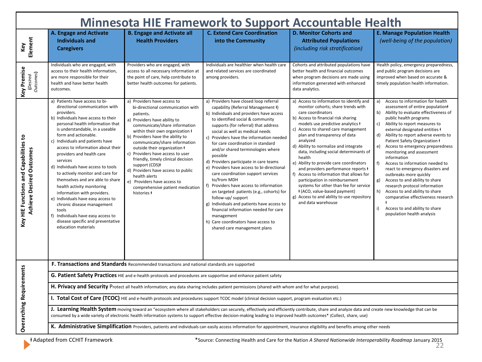| <b>Minnesota HIE Framework to Support Accountable Health</b>             |                                                                                                                                                                                                                                                                                                                                                                                                                                                                                                                                                                                                                                                                                                   |                                                                                                                                                                                                                                                                                                                                                                                                                                                                                                                                    |                                                                                                                                                                                                                                                                                                                                                                                                                                                                                                                                                                                                                                                                                                                                                                                                                 |                                                                                                                                                                                                                                                                                                                                                                                                                                                                                                                                                                                                                                                                                |                                                                                                                                                                                                                                                                                                                                                                                                                                                                                                                                                                                                                                                                                                                                     |  |  |  |  |
|--------------------------------------------------------------------------|---------------------------------------------------------------------------------------------------------------------------------------------------------------------------------------------------------------------------------------------------------------------------------------------------------------------------------------------------------------------------------------------------------------------------------------------------------------------------------------------------------------------------------------------------------------------------------------------------------------------------------------------------------------------------------------------------|------------------------------------------------------------------------------------------------------------------------------------------------------------------------------------------------------------------------------------------------------------------------------------------------------------------------------------------------------------------------------------------------------------------------------------------------------------------------------------------------------------------------------------|-----------------------------------------------------------------------------------------------------------------------------------------------------------------------------------------------------------------------------------------------------------------------------------------------------------------------------------------------------------------------------------------------------------------------------------------------------------------------------------------------------------------------------------------------------------------------------------------------------------------------------------------------------------------------------------------------------------------------------------------------------------------------------------------------------------------|--------------------------------------------------------------------------------------------------------------------------------------------------------------------------------------------------------------------------------------------------------------------------------------------------------------------------------------------------------------------------------------------------------------------------------------------------------------------------------------------------------------------------------------------------------------------------------------------------------------------------------------------------------------------------------|-------------------------------------------------------------------------------------------------------------------------------------------------------------------------------------------------------------------------------------------------------------------------------------------------------------------------------------------------------------------------------------------------------------------------------------------------------------------------------------------------------------------------------------------------------------------------------------------------------------------------------------------------------------------------------------------------------------------------------------|--|--|--|--|
| Element<br>Key                                                           | A. Engage and Activate<br><b>Individuals and</b><br><b>Caregivers</b>                                                                                                                                                                                                                                                                                                                                                                                                                                                                                                                                                                                                                             | <b>B. Engage and Activate all</b><br><b>Health Providers</b>                                                                                                                                                                                                                                                                                                                                                                                                                                                                       | <b>C. Extend Care Coordination</b><br>into the Community                                                                                                                                                                                                                                                                                                                                                                                                                                                                                                                                                                                                                                                                                                                                                        | <b>D. Monitor Cohorts and</b><br><b>Attributed Populations</b><br>(including risk stratification)                                                                                                                                                                                                                                                                                                                                                                                                                                                                                                                                                                              | <b>E. Manage Population Health</b><br>(well-being of the population)                                                                                                                                                                                                                                                                                                                                                                                                                                                                                                                                                                                                                                                                |  |  |  |  |
| Key Premise<br>Outcomes)<br>(Desired                                     | Individuals who are engaged, with<br>access to their health information,<br>are more responsible for their<br>health and have better health<br>outcomes.                                                                                                                                                                                                                                                                                                                                                                                                                                                                                                                                          | Providers who are engaged, with<br>access to all necessary information at<br>the point of care, help contribute to<br>better health outcomes for patients.                                                                                                                                                                                                                                                                                                                                                                         | Individuals are healthier when health care<br>and related services are coordinated<br>among providers.                                                                                                                                                                                                                                                                                                                                                                                                                                                                                                                                                                                                                                                                                                          | Cohorts and attributed populations have<br>better health and financial outcomes<br>when program decisions are made using<br>information generated with enhanced<br>data analytics.                                                                                                                                                                                                                                                                                                                                                                                                                                                                                             | Health policy, emergency preparedness,<br>and public program decisions are<br>improved when based on accurate &<br>timely population health information.                                                                                                                                                                                                                                                                                                                                                                                                                                                                                                                                                                            |  |  |  |  |
| Key HIE Functions and Capabilities to<br><b>Achieve Desired Outcomes</b> | a) Patients have access to bi-<br>directional communication with<br>providers.<br>b) Individuals have access to their<br>personal health information that<br>is understandable, in a useable<br>form and actionable.<br>c) Individuals and patients have<br>access to information about their<br>providers and health care<br>services<br>d) Individuals have access to tools<br>to actively monitor and care for<br>themselves and are able to share<br>health activity monitoring<br>information with providers.<br>e) Individuals have easy access to<br>chronic disease management<br>tools<br>f) Individuals have easy access to<br>disease specific and preventative<br>education materials | a) Providers have access to<br>bi-directional communication with<br>patients.<br>a) Providers have ability to<br>communicate/share information<br>within their own organization +<br>b) Providers have the ability to<br>communicate/share information<br>outside their organization +<br>c) Providers have access to user<br>friendly, timely clinical decision<br>support (CDS)+<br>d) Providers have access to public<br>health alerts<br>e) Providers have access to<br>comprehensive patient medication<br>histories <b>t</b> | a) Providers have closed loop referral<br>capability (Referral Management +)<br>b) Individuals and providers have access<br>to identified social & community<br>supports (for referral) that address<br>social as well as medical needs<br>c) Providers have the information needed<br>for care coordination in standard<br>and/or shared terminologies where<br>possible<br>d) Providers participate in care teams<br>e) Providers have access to bi-directional<br>care coordination support services<br>to/from MDH<br>f) Providers have access to information<br>on targeted patients (e.g., cohorts) for<br>follow-up/ support<br>g) Individuals and patients have access to<br>financial information needed for care<br>management<br>h) Care coordinators have access to<br>shared care management plans | a) Access to information to identify and<br>monitor cohorts; share trends with<br>care coordinators<br>b) Access to financial risk sharing<br>models use predictive analytics #<br>c) Access to shared care management<br>plan and transparency of data<br>analyzed<br>d) Ability to normalize and integrate<br>data, including social determinants of<br>health<br>e) Ability to provide care coordinators<br>and providers performance reports +<br>f) Access to information that allows for<br>participation in reimbursement<br>systems for other than fee for service<br>+ (ACO, value-based payment)<br>g) Access to and ability to use repository<br>and data warehouse | Access to information for health<br>a)<br>assessment of entire population+<br>Ability to evaluate effectiveness of<br>b)<br>public health programs<br>Ability to report measures to<br>c)<br>external designated entities #<br>d)<br>Ability to report adverse events to<br>Patient Safety Organization +<br>Access to emergency preparedness<br>e)<br>monitoring and assessment<br>information<br>Access to information needed to<br>f)<br>react to emergency disasters and<br>outbreaks more quickly<br>Access to and ability to share<br>g)<br>research protocol information<br>h)<br>Access to and ability to share<br>comparative effectiveness research<br>Access to and ability to share<br>i)<br>population health analysis |  |  |  |  |
|                                                                          | F. Transactions and Standards Recommended transactions and national standards are supported                                                                                                                                                                                                                                                                                                                                                                                                                                                                                                                                                                                                       |                                                                                                                                                                                                                                                                                                                                                                                                                                                                                                                                    |                                                                                                                                                                                                                                                                                                                                                                                                                                                                                                                                                                                                                                                                                                                                                                                                                 |                                                                                                                                                                                                                                                                                                                                                                                                                                                                                                                                                                                                                                                                                |                                                                                                                                                                                                                                                                                                                                                                                                                                                                                                                                                                                                                                                                                                                                     |  |  |  |  |
|                                                                          | G. Patient Safety Practices HIE and e-health protocols and procedures are supportive and enhance patient safety                                                                                                                                                                                                                                                                                                                                                                                                                                                                                                                                                                                   |                                                                                                                                                                                                                                                                                                                                                                                                                                                                                                                                    |                                                                                                                                                                                                                                                                                                                                                                                                                                                                                                                                                                                                                                                                                                                                                                                                                 |                                                                                                                                                                                                                                                                                                                                                                                                                                                                                                                                                                                                                                                                                |                                                                                                                                                                                                                                                                                                                                                                                                                                                                                                                                                                                                                                                                                                                                     |  |  |  |  |
|                                                                          | H. Privacy and Security Protect all health information; any data sharing includes patient permissions (shared with whom and for what purpose).                                                                                                                                                                                                                                                                                                                                                                                                                                                                                                                                                    |                                                                                                                                                                                                                                                                                                                                                                                                                                                                                                                                    |                                                                                                                                                                                                                                                                                                                                                                                                                                                                                                                                                                                                                                                                                                                                                                                                                 |                                                                                                                                                                                                                                                                                                                                                                                                                                                                                                                                                                                                                                                                                |                                                                                                                                                                                                                                                                                                                                                                                                                                                                                                                                                                                                                                                                                                                                     |  |  |  |  |
|                                                                          | I. Total Cost of Care (TCOC) HIE and e-health protocols and procedures support TCOC model (clinical decision support, program evaluation etc.)                                                                                                                                                                                                                                                                                                                                                                                                                                                                                                                                                    |                                                                                                                                                                                                                                                                                                                                                                                                                                                                                                                                    |                                                                                                                                                                                                                                                                                                                                                                                                                                                                                                                                                                                                                                                                                                                                                                                                                 |                                                                                                                                                                                                                                                                                                                                                                                                                                                                                                                                                                                                                                                                                |                                                                                                                                                                                                                                                                                                                                                                                                                                                                                                                                                                                                                                                                                                                                     |  |  |  |  |
| <b>Overarching Requirements</b>                                          | J. Learning Health System moving toward an "ecosystem where all stakeholders can securely, effectively and efficiently contribute, share and analyze data and create new knowledge that can be<br>consumed by a wide variety of electronic health information systems to support effective decision-making leading to improved health outcomes* (Collect, share, use)                                                                                                                                                                                                                                                                                                                             |                                                                                                                                                                                                                                                                                                                                                                                                                                                                                                                                    |                                                                                                                                                                                                                                                                                                                                                                                                                                                                                                                                                                                                                                                                                                                                                                                                                 |                                                                                                                                                                                                                                                                                                                                                                                                                                                                                                                                                                                                                                                                                |                                                                                                                                                                                                                                                                                                                                                                                                                                                                                                                                                                                                                                                                                                                                     |  |  |  |  |
|                                                                          | K. Administrative Simplification Providers, patients and individuals can easily access information for appointment, insurance eligibility and benefits among other needs                                                                                                                                                                                                                                                                                                                                                                                                                                                                                                                          |                                                                                                                                                                                                                                                                                                                                                                                                                                                                                                                                    |                                                                                                                                                                                                                                                                                                                                                                                                                                                                                                                                                                                                                                                                                                                                                                                                                 |                                                                                                                                                                                                                                                                                                                                                                                                                                                                                                                                                                                                                                                                                |                                                                                                                                                                                                                                                                                                                                                                                                                                                                                                                                                                                                                                                                                                                                     |  |  |  |  |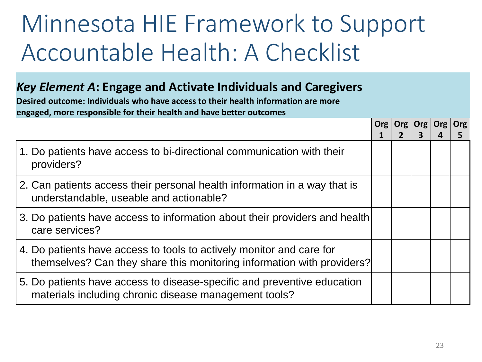# Minnesota HIE Framework to Support Accountable Health: A Checklist

#### *Key Element A***: Engage and Activate Individuals and Caregivers**

**Desired outcome: Individuals who have access to their health information are more engaged, more responsible for their health and have better outcomes**

|                                                                                                                                                | <b>Org</b> | Org | Org<br>3 | Org | Org |
|------------------------------------------------------------------------------------------------------------------------------------------------|------------|-----|----------|-----|-----|
| 1. Do patients have access to bi-directional communication with their<br>providers?                                                            |            |     |          |     |     |
| 2. Can patients access their personal health information in a way that is<br>understandable, useable and actionable?                           |            |     |          |     |     |
| 3. Do patients have access to information about their providers and health<br>care services?                                                   |            |     |          |     |     |
| 4. Do patients have access to tools to actively monitor and care for<br>themselves? Can they share this monitoring information with providers? |            |     |          |     |     |
| 5. Do patients have access to disease-specific and preventive education<br>materials including chronic disease management tools?               |            |     |          |     |     |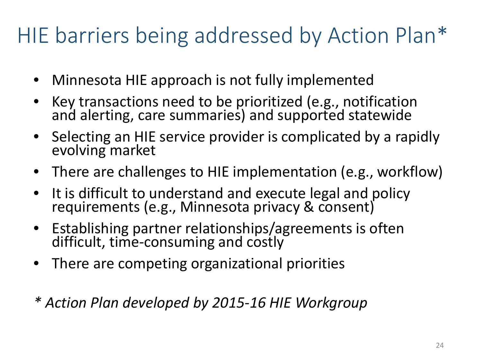# HIE barriers being addressed by Action Plan\*

- Minnesota HIE approach is not fully implemented
- Key transactions need to be prioritized (e.g., notification and alerting, care summaries) and supported statewide
- Selecting an HIE service provider is complicated by a rapidly evolving market
- There are challenges to HIE implementation (e.g., workflow)
- It is difficult to understand and execute legal and policy requirements (e.g., Minnesota privacy & consent)
- Establishing partner relationships/agreements is often difficult, time-consuming and costly
- There are competing organizational priorities
- *\* Action Plan developed by 2015-16 HIE Workgroup*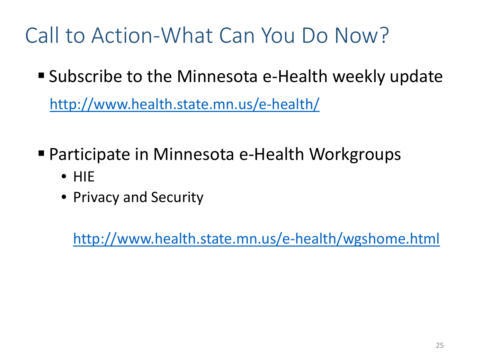## Call to Action-What Can You Do Now?

Subscribe to the Minnesota e-Health weekly update

<http://www.health.state.mn.us/e-health/>

- Participate in Minnesota e-Health Workgroups
	- HIE
	- Privacy and Security

<http://www.health.state.mn.us/e-health/wgshome.html>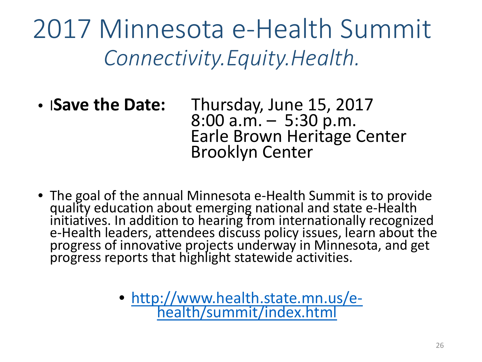2017 Minnesota e-Health Summit *Connectivity.Equity.Health.*

- l**Save the Date:** Thursday, June 15, 2017 Earle Brown Heritage Center Brooklyn Center
- The goal of the annual Minnesota e-Health Summit is to provide quality education about emerging national and state e-Health initiatives. In addition to hearing from internationally recognized e-Health leaders, attendees discuss policy issues, learn about the progress of innovative projects underway in Minnesota, and get progress reports that highlight statewide activities.
	- [http://www.health.state.mn.us/e-](http://www.health.state.mn.us/e-health/summit/index.html) health/summit/index.h[tml](http://www.health.state.mn.us/e-health/summit/index.html)